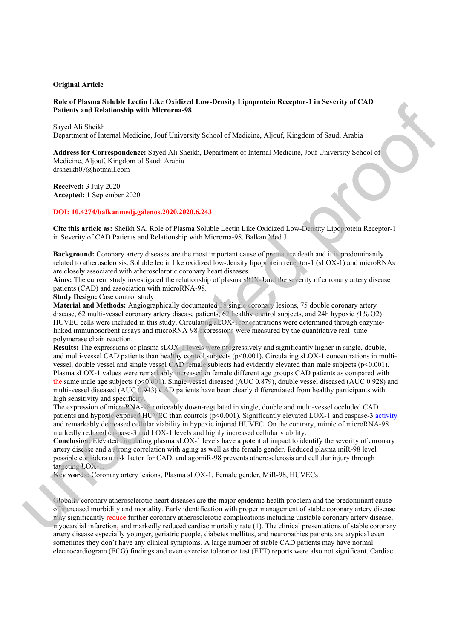### **Original Article**

### **Role of Plasma Soluble Lectin Like Oxidized Low-Density Lipoprotein Receptor-1 in Severity of CAD Patients and Relationship with Microrna-98**

Sayed Ali Sheikh Department of Internal Medicine, Jouf University School of Medicine, Aljouf, Kingdom of Saudi Arabia

**Address for Correspondence:** Sayed Ali Sheikh, Department of Internal Medicine, Jouf University School of Medicine, Aljouf, Kingdom of Saudi Arabia drsheikh07@hotmail.com F-1 in Severity of CAD<br>dom of Saudi Arabia<br>Jouf University School of<br>Density Lipoprotein Receptor-1<br>eath and it is predominantly

**Received:** 3 July 2020 **Accepted:** 1 September 2020

### **DOI: 10.4274/balkanmedj.galenos.2020.2020.6.243**

**Cite this article as:** Sheikh SA. Role of Plasma Soluble Lectin Like Oxidized Low-Density Lipoprotein Receptor-1 in Severity of CAD Patients and Relationship with Microrna-98. Balkan Med J

**Background:** Coronary artery diseases are the most important cause of premature death and it is predominantly related to atherosclerosis. Soluble lectin like oxidized low-density lipoprotein receptor-1 (sLOX-1) and microRNAs are closely associated with atherosclerotic coronary heart diseases.

**Aims:** The current study investigated the relationship of plasma slOX-1and the severity of coronary artery disease patients (CAD) and association with microRNA-98.

**Study Design:** Case control study.

**Material and Methods:** Angiographically documented 38 single coronary lesions, 75 double coronary artery disease, 62 multi-vessel coronary artery disease patients, 62 healthy control subjects, and 24h hypoxic *(*1% O2) HUVEC cells were included in this study. Circulating sLOX-1concentrations were determined through enzymelinked immunosorbent assays and microRNA-98 expressions were measured by the quantitative real- time polymerase chain reaction*.*

**Results:** The expressions of plasma sLOX-1 levels were progressively and significantly higher in single, double, and multi-vessel CAD patients than healthy control subjects (p<0.001). Circulating sLOX-1 concentrations in multivessel, double vessel and single vessel CAD female subjects had evidently elevated than male subjects (p<0.001). Plasma sLOX-1 values were remarkably increased in female different age groups CAD patients as compared with the same male age subjects ( $p \le 0.001$ ). Single vessel diseased (AUC 0.879), double vessel diseased (AUC 0.928) and multi-vessel diseased (AUC 0.943) CAD patients have been clearly differentiated from healthy participants with high sensitivity and specificity. In Severity of CAD Pattents and Relationship with Microma-98. Balkan Med<br>Jackground: Coronary arety desises are the most important case of premine terestige and<br>related to atherese lerestiges and the oxidized low-density

The expression of microRNA-98 noticeably down-regulated in single, double and multi-vessel occluded CAD patients and hypoxic exposed HUVEC than controls (p<0.001). Significantly elevated LOX-1 and caspase-3 activity and remarkably decreased cellular viability in hypoxic injured HUVEC. On the contrary, mimic of microRNA-98 markedly reduced caspase-3 and LOX-1 levels and highly increased cellular viability.

**Conclusion:** Elevated circulating plasma sLOX-1 levels have a potential impact to identify the severity of coronary artery disease and a strong correlation with aging as well as the female gender. Reduced plasma miR-98 level possible considers a risk factor for CAD, and agomiR-98 prevents atherosclerosis and cellular injury through targeting LOX-1

**Key words:** Coronary artery lesions, Plasma sLOX-1, Female gender, MiR-98, HUVECs

Globally coronary atherosclerotic heart diseases are the major epidemic health problem and the predominant cause of increased morbidity and mortality. Early identification with proper management of stable coronary artery disease may significantly reduce further coronary atherosclerotic complications including unstable coronary artery disease, myocardial infarction, and markedly reduced cardiac mortality rate (1). The clinical presentations of stable coronary artery disease especially younger, geriatric people, diabetes mellitus, and neuropathies patients are atypical even sometimes they don't have any clinical symptoms. A large number of stable CAD patients may have normal electrocardiogram (ECG) findings and even exercise tolerance test (ETT) reports were also not significant. Cardiac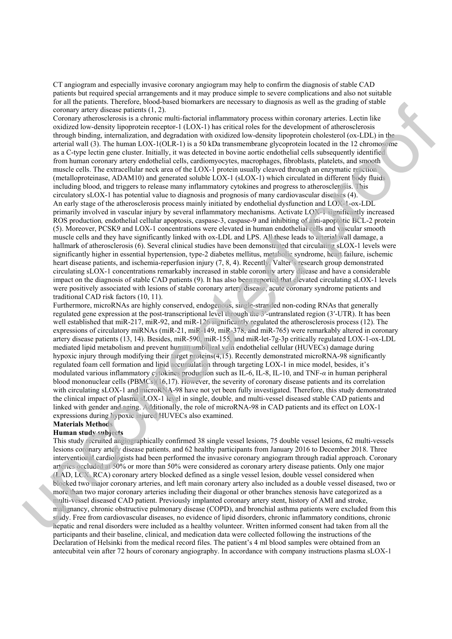CT angiogram and especially invasive coronary angiogram may help to confirm the diagnosis of stable CAD patients but required special arrangements and it may produce simple to severe complications and also not suitable for all the patients. Therefore, blood-based biomarkers are necessary to diagnosis as well as the grading of stable coronary artery disease patients (1, 2).

Coronary atherosclerosis is a chronic multi-factorial inflammatory process within coronary arteries. Lectin like oxidized low-density lipoprotein receptor-1 (LOX-1) has critical roles for the development of atherosclerosis through binding, internalization, and degradation with oxidized low-density lipoprotein cholesterol (ox-LDL) in the arterial wall (3). The human LOX-1(OLR-1) is a 50 kDa transmembrane glycoprotein located in the 12 chromosome as a C-type lectin gene cluster. Initially, it was detected in bovine aortic endothelial cells subsequently identified from human coronary artery endothelial cells, cardiomyocytes, macrophages, fibroblasts, platelets, and smooth muscle cells. The extracellular neck area of the LOX-1 protein usually cleaved through an enzymatic reaction (metalloproteinase, ADAM10) and generated soluble LOX-1 (sLOX-1) which circulated in different body fluids including blood, and triggers to release many inflammatory cytokines and progress to atherosclerosis. This circulatory sLOX-1 has potential value to diagnosis and prognosis of many cardiovascular diseases (4). An early stage of the atherosclerosis process mainly initiated by endothelial dysfunction and LOX-1-ox-LDL primarily involved in vascular injury by several inflammatory mechanisms. Activate LOX-1 significantly increased ROS production*,* endothelial cellular apoptosis, caspase-3, caspase-9 and inhibiting of anti-apoptotic BCL-2 protein (5). Moreover, PCSK9 and LOX-1 concentrations were elevated in human endothelial cells and vascular smooth muscle cells and they have significantly linked with ox-LDL and LPS. All these leads to arterial wall damage, a hallmark of atherosclerosis (6). Several clinical studies have been demonstrated that circulating sLOX-1 levels were significantly higher in essential hypertension, type-2 diabetes mellitus, metabolic syndrome, heart failure, ischemic heart disease patients, and ischemia-reperfusion injury (7, 8, 4). Recently, Valter's research group demonstrated circulating sLOX-1 concentrations remarkably increased in stable coronary artery disease and have a considerable impact on the diagnosis of stable CAD patients (9). It has also been reported that elevated circulating sLOX-1 levels were positively associated with lesions of stable coronary artery disease, acute coronary syndrome patients and traditional CAD risk factors (10, 11). well as the grading of stable<br>pronary arteries. Lectin like<br>ppment of atherosclerosis<br>ein cholesterol (ox-LDL) in the<br>in located in the 12 chromosome<br>cells subsequently identified<br>lasts, platelets, and smooth<br>gh an enzymat

Furthermore, microRNAs are highly conserved, endogenous, single-stranded non-coding RNAs that generally regulated gene expression at the post-transcriptional level through the 3′-untranslated region (3′-UTR). It has been well established that miR-217, miR-92, and miR-126 significantly regulated the atherosclerosis process (12). The expressions of circulatory miRNAs (miR-21, miR-149, miR-378, and miR-765) were remarkably altered in coronary artery disease patients (13, 14). Besides, miR-590, miR-155, and miR-let-7g-3p critically regulated LOX-1-ox-LDL mediated lipid metabolism and prevent human umbilical vein endothelial cellular (HUVECs) damage during hypoxic injury through modifying their target proteins(4,15). Recently demonstrated microRNA-98 significantly regulated foam cell formation and lipid accumulation through targeting LOX-1 in mice model, besides, it's modulated various inflammatory cytokines production such as IL-6, IL-8, IL-10, and TNF-*α* in human peripheral blood mononuclear cells (PBMCs)(16,17). However, the severity of coronary disease patients and its correlation with circulating sLOX-1 and microRNA-98 have not yet been fully investigated. Therefore, this study demonstrated the clinical impact of plasma sLOX-1 level in single, double, and multi-vessel diseased stable CAD patients and linked with gender and aging. Additionally, the role of microRNA-98 in CAD patients and its effect on LOX-1 expressions during hypoxic injured HUVECs also examined. muscle cells and they have significantly linked with ox-LDL and LPS. All these leads to aim<br>significantly higher mescantain hypertension, type-2 diabets melliture. methanic districted<br>symficantly higher in essential hypert

### **Materials Methods**

### **Human study subjects**

This study recruited angiographically confirmed 38 single vessel lesions, 75 double vessel lesions, 62 multi-vessels lesions coronary artery disease patients, and 62 healthy participants from January 2016 to December 2018. Three interventional cardiologists had been performed the invasive coronary angiogram through radial approach. Coronary arteries occluded at 50% or more than 50% were considered as coronary artery disease patients. Only one major (LAD, LCX, RCA) coronary artery blocked defined as a single vessel lesion, double vessel considered when blocked two major coronary arteries, and left main coronary artery also included as a double vessel diseased, two or more than two major coronary arteries including their diagonal or other branches stenosis have categorized as a multi-vessel diseased CAD patient. Previously implanted coronary artery stent, history of AMI and stroke, malignancy, chronic obstructive pulmonary disease (COPD), and bronchial asthma patients were excluded from this study. Free from cardiovascular diseases, no evidence of lipid disorders, chronic inflammatory conditions, chronic hepatic and renal disorders were included as a healthy volunteer. Written informed consent had taken from all the participants and their baseline, clinical, and medication data were collected following the instructions of the Declaration of Helsinki from the medical record files. The patient's 4 ml blood samples were obtained from an antecubital vein after 72 hours of coronary angiography. In accordance with company instructions plasma sLOX-1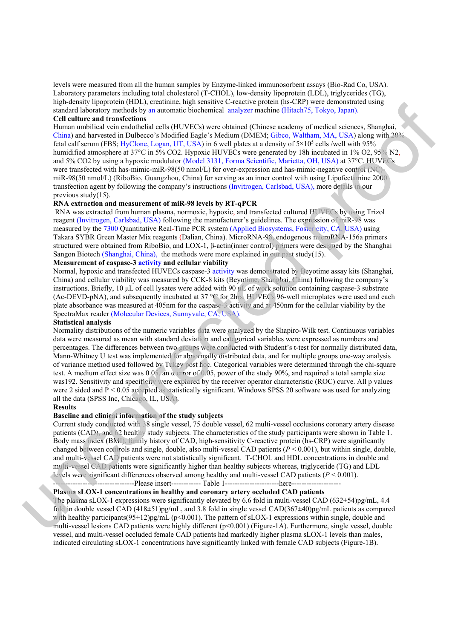levels were measured from all the human samples by Enzyme-linked immunosorbent assays (Bio-Rad Co, USA). Laboratory parameters including total cholesterol (T-CHOL), low-density lipoprotein (LDL), triglycerides (TG), high*-*density lipoprotein (HDL), creatinine, high sensitive C-reactive protein (hs-CRP) were demonstrated using standard laboratory methods by an automatic biochemical analyzer machine (Hitach75, Tokyo, Japan). **Cell culture and transfections** 

Human umbilical vein endothelial cells (HUVECs) were obtained (Chinese academy of medical sciences, Shanghai, China) and harvested in Dulbecco's Modified Eagle's Medium (DMEM; Gibco, Waltham, MA, USA) along with 20% fetal calf serum (FBS; HyClone, Logan, UT, USA) in 6 well plates at a density of  $5\times10^5$  cells /well with 95% humidified atmosphere at 37°C in 5% CO2. Hypoxic HUVECs were generated by 18h incubated in 1% O2, 95% N2, and 5% CO2 by using a hypoxic modulator (Model 3131, Forma Scientific, Marietta, OH, USA) at 37°C. HUVECs were transfected with has-mimic-miR-98(50 nmol/L) for over-expression and has-mimic-negative control (NC)miR-98(50 nmol/L) (RiboBio, Guangzhou, China) for serving as an inner control with using Lipofectamine 2000 transfection agent by following the company's instructions (Invitrogen, Carlsbad, USA), more details in our previous study(15). P) were demonstrated using<br>
175, Tokyo, Japan).<br>
175, Tokyo, Japan).<br>
10<sup>5</sup> cells /well with 95%<br>
8h incubated in 1% O2, 95% N2,<br>
10, OH, USA) at 37°C. HUVECs<br>
imic-negative control (NC)-<br>
th using Lipofectamine 2000<br>
SA)

## **RNA extraction and measurement of miR-98 levels by RT-qPCR**

 RNA was extracted from human plasma, normoxic, hypoxic, and transfected cultured HUVECs by using Trizol reagent (Invitrogen, Carlsbad, USA) following the manufacturer's guidelines. The expression of miR-98 was measured by the 7300 Quantitative Real-Time PCR system (Applied Biosystems, Foster city, CA, USA) using Takara SYBR Green Master Mix reagents (Dalian, China). MicroRNA-98, endogenous microRNA-156a primers structured were obtained from RiboBio, and LOX-1, β-actin(inner control) primers were designed by the Shanghai Sangon Biotech (Shanghai, China), the methods were more explained in our past study(15).

# **Measurement of caspase-3 activity and cellular viability**

Normal, hypoxic and transfected HUVECs caspase-3 activity was demonstrated by Beyotime assay kits (Shanghai, China) and cellular viability was measured by CCK-8 kits (Beyotime, Shanghai, China) following the company's instructions. Briefly, 10 μL of cell lysates were added with 90 μL of work solution containing caspase-3 substrate (Ac-DEVD-pNA), and subsequently incubated at 37 °C for 2hrs. HUVECs 96-well microplates were used and each plate absorbance was measured at 405nm for the caspase-3 activity and at 450nm for the cellular viability by the SpectraMax reader (Molecular Devices, Sunnyvale, CA, USA).

### **Statistical analysis**

Normality distributions of the numeric variables data were analyzed by the Shapiro-Wilk test. Continuous variables data were measured as mean with standard deviation and categorical variables were expressed as numbers and percentages. The differences between two groups were conducted with Student's t-test for normally distributed data, Mann-Whitney U test was implemented for abnormally distributed data, and for multiple groups one-way analysis of variance method used followed by Tukey post hoc. Categorical variables were determined through the chi-square test. A medium effect size was 0.05, an α error of 0.05, power of the study 90%, and required a total sample size was192. Sensitivity and specificity were explored by the receiver operator characteristic (ROC) curve. All p values were 2 sided and  $P \le 0.05$  accepted as statistically significant. Windows SPSS 20 software was used for analyzing all the data (SPSS Inc, Chicago, IL, USA). Takina SYBR Green Matter Mix reagents (Dalini, China). MircroNNA-9<sup>3</sup> endogenous mannos mediatem and the sample in the the sample of the sample of the sample of the sample of the sample of the sample of the sample of the

### **Results**

# **Baseline and clinical information of the study subjects**

Current study conducted with 38 single vessel, 75 double vessel, 62 multi-vessel occlusions coronary artery disease patients (CAD), and 62 healthy study subjects. The characteristics of the study participants were shown in Table 1. Body mass index (BMI), family history of CAD, high-sensitivity C-reactive protein (hs-CRP) were significantly changed between controls and single, double, also multi-vessel CAD patients  $(P < 0.001)$ , but within single, double, and multi-vessel CAD patients were not statistically significant. T-CHOL and HDL concentrations in double and multi-vessel CAD patients were significantly higher than healthy subjects whereas, triglyceride (TG) and LDL levels were significant differences observed among healthy and multi-vessel CAD patients (*P* < 0.001).

### ---------------------------------Please insert------------ Table 1----------------------here-------------------- **Plasma sLOX-1 concentrations in healthy and coronary artery occluded CAD patients**

The plasma sLOX-1 expressions were significantly elevated by 6.6 fold in multi-vessel CAD (632±54)pg/mL, 4.4 fold in double vessel CAD (418±51)pg/mL, and 3.8 fold in single vessel CAD(367±40)pg/mL patients as compared with healthy participants $(95\pm12)pg/mL$  (p<0.001). The pattern of sLOX-1 expressions within single, double and multi-vessel lesions CAD patients were highly different (p<0.001) (Figure-1A). Furthermore, single vessel, double vessel, and multi-vessel occluded female CAD patients had markedly higher plasma sLOX-1 levels than males, indicated circulating sLOX-1 concentrations have significantly linked with female CAD subjects (Figure-1B).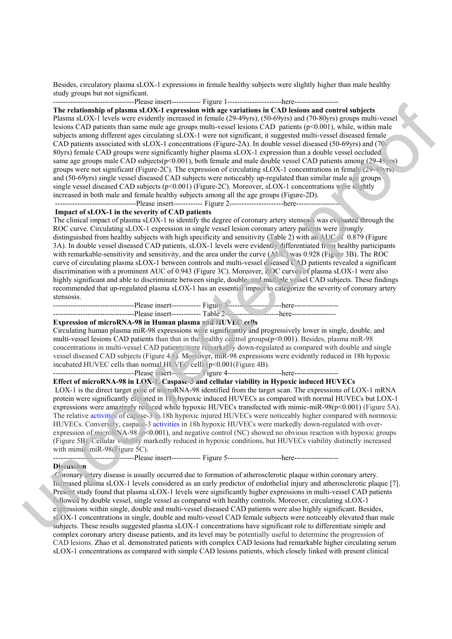Besides, circulatory plasma sLOX-1 expressions in female healthy subjects were slightly higher than male healthy study groups but not significant.

---------------------------------Please insert------------ Figure 1----------------------here------------------

**The relationship of plasma sLOX-1 expression with age variations in CAD lesions and control subjects**  Plasma sLOX-1 levels were evidently increased in female (29-49yrs), (50-69yrs) and (70-80yrs) groups multi-vessel lesions CAD patients than same male age groups multi-vessel lesions CAD patients (p<0.001), while, within male subjects among different ages circulating sLOX-1 were not significant, it suggested multi-vessel diseased female CAD patients associated with sLOX-1 concentrations (Figure-2A). In double vessel diseased (50-69yrs) and (70- 80yrs) female CAD groups were significantly higher plasma sLOX-1 expression than a double vessel occluded same age groups male CAD subjects( $p<0.001$ ), both female and male double vessel CAD patients among (29-49 $y$ rs) groups were not significant (Figure-2C). The expression of circulating sLOX-1 concentrations in female (29-49yrs) and (50-69yrs) single vessel diseased CAD subjects were noticeably up-regulated than similar male age groups single vessel diseased CAD subjects (p<0.001) (Figure-2C). Moreover, sLOX-1 concentrations were slightly increased in both male and female healthy subjects among all the age groups (Figure-2D). manumous and control subjects<br>
(p<0.001), while, within male<br>
(p<0.001), while, within male<br>
multi-vessel diseased female<br>
diseased (50-69yrs) and (70-<br>
n a double vessel occluded<br>
CAD patients among (29-49yrs)<br>
entrations

---------------------------------Please insert------------ Figure 2----------------------here------------------

# **Impact of sLOX-1 in the severity of CAD patients**

The clinical impact of plasma sLOX-1 to identify the degree of coronary artery stensosis was evaluated through the ROC curve. Circulating sLOX-1 expression in single vessel lesion coronary artery patients were strongly distinguished from healthy subjects with high specificity and sensitivity (Table 2) with an AUC of 0.879 (Figure 3A). In double vessel diseased CAD patients, sLOX-1 levels were evidently differentiated from healthy participants with remarkable-sensitivity and sensitivity, and the area under the curve (AUC) was 0.928 (Figure 3B). The ROC curve of circulating plasma sLOX-1 between controls and multi-vessel diseased CAD patients revealed a significant discrimination with a prominent AUC of 0.943 (Figure 3C). Moreover, ROC curves of plasma sLOX-1 were also highly significant and able to discriminate between single, double, and multiple vessel CAD subjects. These findings recommended that up-regulated plasma sLOX-1 has an essential impact to categorize the severity of coronary artery stensosis. distinguished item headily subjects with high specifiely and scanting and scaling and social distance of the measure of the curve of circulating plasma sLOX-1 between controls and multi-vessel closes of the curve of circu

---------------------------------Please insert------------ Figure 3----------------------here------------------

---------------------------------Please insert------------ Table 2----------------------here------------------

# **Expression of microRNA-98 in Human plasma and HUVEC cells**

Circulating human plasma miR-98 expressions were significantly and progressively lower in single, double, and multi-vessel lesions CAD patients than that in the healthy control groups(p<0.001). Besides, plasma miR-98 concentrations in multi-vessel CAD patients were remarkably down-regulated as compared with double and single vessel diseased CAD subjects (Figure 4A). Moreover, miR-98 expressions were evidently reduced in 18h hypoxic incubated HUVEC cells than normal HUVEC cells (p<0.001(Figure 4B).

---------------------------------Please insert------------ Figure 4----------------------here------------------

# **Effect of microRNA-98 in LOX-1, Caspase-3 and cellular viability in Hypoxic induced HUVECs**

 LOX-1 is the direct target gene of microRNA-98 identified from the target scan. The expressions of LOX-1 mRNA protein were significantly elevated in 18h hypoxic induced HUVECs as compared with normal HUVECs but LOX-1 expressions were amazingly reduced while hypoxic HUVECs transfected with mimic-miR-98(p<0.001) (Figure 5A). The relative activities of capase-3 in 18h hypoxic injured HUVECs were noticeably higher compared with normoxic HUVECs. Conversely, caspase-3 activities in 18h hypoxic HUVECs were markedly down-regulated with overexpression of microRNA-98 ( $p<0.001$ ), and negative control (NC) showed no obvious reaction with hypoxic groups (Figure 5B). Cellular viability markedly reduced in hypoxic conditions, but HUVECs viability distinctly increased with mimic-miR-98(Figure 5C).

---------------------------------Please insert------------ Figure 5----------------------here------------------

### **Discussion**

 Coronary artery disease is usually occurred due to formation of atherosclerotic plaque within coronary artery. Increased plasma sLOX-1 levels considered as an early predictor of endothelial injury and atherosclerotic plaque [7]. Present study found that plasma sLOX-1 levels were significantly higher expressions in multi-vessel CAD patients followed by double vessel, single vessel as compared with healthy controls. Moreover, circulating sLOX-1 expressions within single, double and multi-vessel diseased CAD patients were also highly significant. Besides, sLOX-1 concentrations in single, double and multi-vessel CAD female subjects were noticeably elevated than male subjects. These results suggested plasma sLOX-1 concentrations have significant role to differentiate simple and complex coronary artery disease patients, and its level may be potentially useful to determine the progression of CAD lesions. Zhao et al. demonstrated patients with complex CAD lesions had remarkable higher circulating serum sLOX-1 concentrations as compared with simple CAD lesions patients, which closely linked with present clinical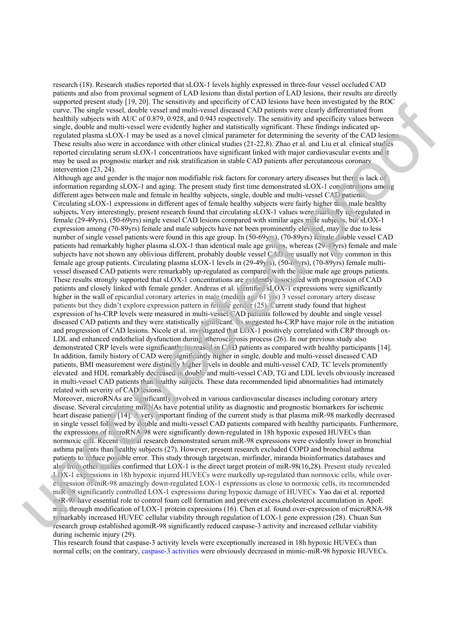research (18). Research studies reported that sLOX-1 levels highly expressed in three-four vessel occluded CAD patients and also from proximal segment of LAD lesions than distal portion of LAD lesions, their results are directly supported present study [19, 20]. The sensitivity and specificity of CAD lesions have been investigated by the ROC curve. The single vessel, double vessel and multi-vessel diseased CAD patients were clearly differentiated from healthily subjects with AUC of 0.879, 0.928, and 0.943 respectively. The sensitivity and specificity values between single, double and multi-vessel were evidently higher and statistically significant. These findings indicated upregulated plasma sLOX-1 may be used as a novel clinical parameter for determining the severity of the CAD lesions. These results also were in accordance with other clinical studies (21-22,8). Zhao et al. and Liu et al. clinical studies reported circulating serum sLOX-1 concentrations have significant linked with major cardiovascular events and it may be used as prognostic marker and risk stratification in stable CAD patients after percutaneous coronary intervention (23, 24).

Although age and gender is the major non modifiable risk factors for coronary artery diseases but there is lack of information regarding sLOX-1 and aging. The present study first time demonstrated sLOX-1 concentrations among different ages between male and female in healthy subjects, single, double and multi-vessel CAD patients. Circulating sLOX-1 expressions in different ages of female healthy subjects were fairly higher than male healthy subjects**.** Very interestingly, present research found that circulating sLOX-1 values were markedly up-regulated in female (29-49yrs), (50-69yrs) single vessel CAD lesions compared with similar ages male subjects, but sLOX-1 expression among (70-89yrs) female and male subjects have not been prominently elevated, may be due to less number of single vessel patients were found in this age group. In (50-69yrs), (70-89yrs) female double vessel CAD patients had remarkably higher plasma sLOX-1 than identical male age groups, whereas (29-49yrs) female and male subjects have not shown any oblivious different, probably double vessel CAD are usually not very common in this female age group patients. Circulating plasma sLOX-1 levels in (29-49yrs), (50-69yrs), (70-89yrs) female multivessel diseased CAD patients were remarkably up-regulated as compared with the same male age groups patients. These results strongly supported that sLOX-1 concentrations are evidently associated with progression of CAD patients and closely linked with female gender. Andreas et al. identified sLOX-1 expressions were significantly higher in the wall of epicardial coronary arteries in male (median age 61 yrs) 3 vessel coronary artery disease patients but they didn't explore expression pattern in female gender (25). Current study found that highest expression of hs-CRP levels were measured in multi-vessel CAD patients followed by double and single vessel diseased CAD patients and they were statistically significant. Its suggested hs-CRP have major role in the initiation and progression of CAD lesions. Nicole et al. investigated that LOX-1 positively correlated with CRP through ox-LDL and enhanced endothelial dysfunction during atherosclerosis process (26). In our previous study also demonstrated CRP levels were significantly increased in CAD patients as compared with healthy participants [14]. In addition, family history of CAD were significantly higher in single, double and multi-vessel diseased CAD patients, BMI measurement were distinctly higher levels in double and multi-vessel CAD, TC levels prominently elevated and HDL remarkably decreased in double and multi-vessel CAD, TG and LDL levels obviously increased in multi-vessel CAD patients than healthy subjects. These data recommended lipid abnormalities had intimately related with severity of CAD lesions. number of single vescale patients were bund in this age group. In (50-09yr), (70-89yr) is the step is alternation way oblivious different, probably only the patients have a subject share of shown any oblivious different, e been investigated by the ROC<br>
e clearly differentiated from<br>
and specificity values between<br>
nese findings indicated up-<br>
the severity of the CAD lesions.<br>
I. and Liu et al. clinical studies<br>
or cardiovascular events and

Moreover, microRNAs are significantly involved in various cardiovascular diseases including coronary artery disease. Several circulating miRNAs have potential utility as diagnostic and prognostic biomarkers for ischemic heart disease patients [14]. A very important finding of the current study is that plasma miR-98 markedly decreased in single vessel followed by double and multi-vessel CAD patients compared with healthy participants. Furthermore, the expressions of microRNA-98 were significantly down-regulated in 18h hypoxic exposed HUVECs than normoxic cell. Recent clinical research demonstrated serum miR-98 expressions were evidently lower in bronchial asthma patients than healthy subjects (27). However, present research excluded COPD and bronchial asthma patients to reduce possible error. This study through targetscan, mirfinder, miranda bioinformatics databases and also from other studies confirmed that LOX-1 is the direct target protein of miR-98(16,28). Present study revealed LOX-1 expressions in 18h hypoxic injured HUVECs were markedly up-regulated than normoxic cells, while overexpression of miR-98 amazingly down-regulated LOX-1 expressions as close to normoxic cells, its recommended miR-98 significantly controlled LOX-1 expressions during hypoxic damage of HUVECs. Yao dai et al. reported miR-98 have essential role to control foam cell formation and prevent excess cholesterol accumulation in ApoE mice through modification of LOX-1 protein expressions (16). Chen et al. found over-expression of microRNA-98 remarkably increased HUVEC cellular viability through regulation of LOX-1 gene expression (28). Chuan Sun research group established agomiR-98 significantly reduced caspase-3 activity and increased cellular viability during ischemic injury (29).

This research found that caspase-3 activity levels were exceptionally increased in 18h hypoxic HUVECs than normal cells; on the contrary, caspase-3 activities were obviously decreased in mimic-miR-98 hypoxic HUVECs.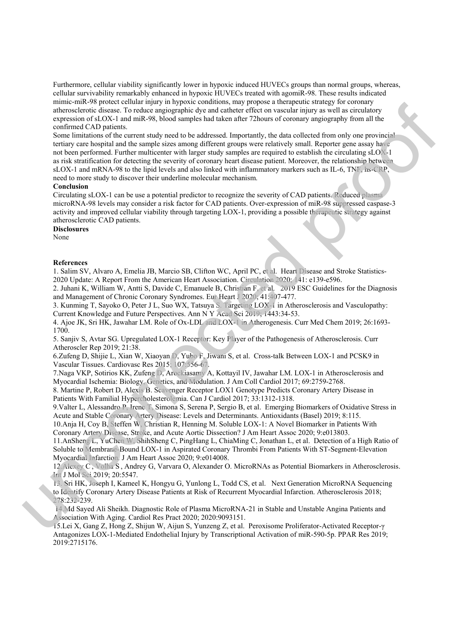Furthermore, cellular viability significantly lower in hypoxic induced HUVECs groups than normal groups, whereas, cellular survivability remarkably enhanced in hypoxic HUVECs treated with agomiR-98. These results indicated mimic-miR-98 protect cellular injury in hypoxic conditions, may propose a therapeutic strategy for coronary atherosclerotic disease. To reduce angiographic dye and catheter effect on vascular injury as well as circulatory expression of sLOX-1 and miR-98, blood samples had taken after 72hours of coronary angiography from all the confirmed CAD patients.

Some limitations of the current study need to be addressed. Importantly, the data collected from only one provincial tertiary care hospital and the sample sizes among different groups were relatively small. Reporter gene assay have not been performed. Further multicenter with larger study samples are required to establish the circulating sLOX-1 as risk stratification for detecting the severity of coronary heart disease patient. Moreover, the relationship between sLOX-1 and mRNA-98 to the lipid levels and also linked with inflammatory markers such as IL-6, TNF, hs-CRP, need to more study to discover their underline molecular mechanism. tic strategy for coronary<br>njury as well as circulatory<br>try angiography from all the<br>lected from only one provincial<br>all. Reporter gene assay have<br>tablish the circulating sLOX-1<br>eover, the relationship between<br>s such as IL-

### **Conclusion**

Circulating sLOX-1 can be use a potential predictor to recognize the severity of CAD patients. Reduced plasma microRNA-98 levels may consider a risk factor for CAD patients. Over-expression of miR-98 suppressed caspase-3 activity and improved cellular viability through targeting LOX-1, providing a possible therapeutic strategy against atherosclerotic CAD patients.

## **Disclosures**

None

## **References**

1. Salim SV, Alvaro A, Emelia JB, Marcio SB, Clifton WC, April PC, et al. Heart Disease and Stroke Statistics-2020 Update: A Report From the American Heart Association. Circulation 2020; 141: e139-e596.

2. Juhani K, William W, Antti S, Davide C, Emanuele B, Christian F, et al. 2019 ESC Guidelines for the Diagnosis and Management of Chronic Coronary Syndromes. Eur Heart J 2020; 41:407-477.

3. Kunming T, Sayoko O, Peter J L, Suo WX, Tatsuya S. Targeting LOX-1 in Atherosclerosis and Vasculopathy: Current Knowledge and Future Perspectives. Ann N Y Acad Sci 2019; 1443:34-53.

4. Ajoe JK, Sri HK, Jawahar LM. Role of Ox-LDL and LOX-1 in Atherogenesis. Curr Med Chem 2019; 26:1693- 1700.

5. Sanjiv S, Avtar SG. Upregulated LOX-1 Receptor: Key Player of the Pathogenesis of Atherosclerosis. Curr Atheroscler Rep 2019; 21:38.

6.Zufeng D, Shijie L, Xian W, Xiaoyan D, Yubo F, Jiwani S, et al. Cross-talk Between LOX-1 and PCSK9 in Vascular Tissues. Cardiovasc Res 2015; 107:556-67.

7.Naga VKP, Sotirios KK, Zufeng D, Arockiasamy A, Kottayil IV, Jawahar LM. LOX-1 in Atherosclerosis and Myocardial Ischemia: Biology, Genetics, and Modulation. J Am Coll Cardiol 2017; 69:2759-2768.

8. Martine P, Robert D, Alexis B. Scavenger Receptor LOX1 Genotype Predicts Coronary Artery Disease in Patients With Familial Hypercholesterolemia. Can J Cardiol 2017; 33:1312-1318.

9.Valter L, Alessandro P, Irene T, Simona S, Serena P, Sergio B, et al. Emerging Biomarkers of Oxidative Stress in Acute and Stable Coronary Artery Disease: Levels and Determinants. Antioxidants (Basel) 2019; 8:115.

10.Anja H, Coy B, Steffen W, Christian R, Henning M. Soluble LOX-1: A Novel Biomarker in Patients With Coronary Artery Disease, Stroke, and Acute Aortic Dissection? J Am Heart Assoc 2020; 9:e013803.

11.AnSheng L, YuChen W, ShihSheng C, PingHang L, ChiaMing C, Jonathan L, et al. Detection of a High Ratio of Soluble to Membrane-Bound LOX-1 in Aspirated Coronary Thrombi From Patients With ST-Segment-Elevation

Myocardial Infarction. J Am Heart Assoc 2020; 9:e014008.

12.Alexey C, Volha S , Andrey G, Varvara O, Alexander O. MicroRNAs as Potential Biomarkers in Atherosclerosis. Int J Mol Sci 2019; 20:5547.

13. Sri HK, Joseph I, Kameel K, Hongyu G, Yunlong L, Todd CS, et al. Next Generation MicroRNA Sequencing to Identify Coronary Artery Disease Patients at Risk of Recurrent Myocardial Infarction. Atherosclerosis 2018; 278:232-239. None<br>
References<br>
1. Salim SV, Alvaro A. Emclia JB, Marcio SB, Clilton WC, April PC, et 1. Heart Disease<br>
1. Salim SV, Alvaro A. Emclia JB, Marcio SB, Clilton WC, April PC, et 1. Heart Disease<br>
2.020 Update: A Report From

 14.Md Sayed Ali Sheikh. Diagnostic Role of Plasma MicroRNA-21 in Stable and Unstable Angina Patients and Association With Aging. Cardiol Res Pract 2020; 2020:9093151.

15.Lei X, Gang Z, Hong Z, Shijun W, Aijun S, Yunzeng Z, et al. Peroxisome Proliferator-Activated Receptor-γ Antagonizes LOX-1-Mediated Endothelial Injury by Transcriptional Activation of miR-590-5p. PPAR Res 2019; 2019:2715176.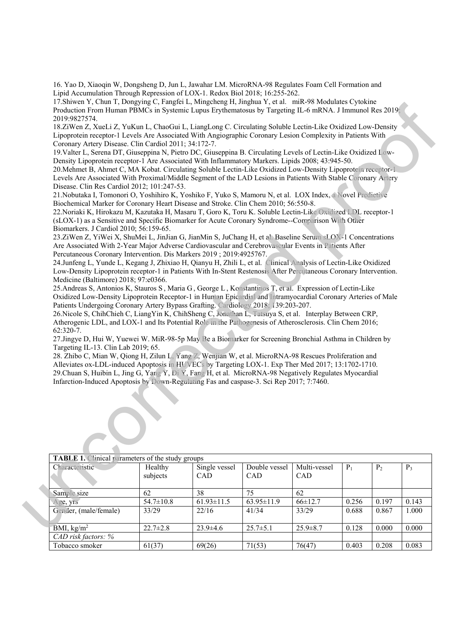16. Yao D, Xiaoqin W, Dongsheng D, Jun L, Jawahar LM. MicroRNA-98 Regulates Foam Cell Formation and Lipid Accumulation Through Repression of LOX-1. Redox Biol 2018; 16:255-262.

17.Shiwen Y, Chun T, Dongying C, Fangfei L, Mingcheng H, Jinghua Y, et al. miR-98 Modulates Cytokine Production From Human PBMCs in Systemic Lupus Erythematosus by Targeting IL-6 mRNA. J Immunol Res 2019; 2019:9827574.

18.ZiWen Z, XueLi Z, YuKun L, ChaoGui L, LiangLong C. Circulating Soluble Lectin-Like Oxidized Low-Density Lipoprotein receptor-1 Levels Are Associated With Angiographic Coronary Lesion Complexity in Patients With Coronary Artery Disease. Clin Cardiol 2011; 34:172-7. (1998) Modulates Cytokine<br>
1998 Modulates Cytokine<br>
1998 Modulates Cytokine<br>
1998 Complexity in Patients With<br>
1998 Soft Lectin-Like Oxidized Low-<br>
1998; 43:945-50.<br>
1998; 43:945-50.<br>
1998 Propriet Proceptor-1<br>
1998 Modula

19.Valter L, Serena DT, Giuseppina N, Pietro DC, Giuseppina B. Circulating Levels of Lectin-Like Oxidized Low-Density Lipoprotein receptor-1 Are Associated With Inflammatory Markers. Lipids 2008; 43:945-50.

20.Mehmet B, Ahmet C, MA Kobat. Circulating Soluble Lectin-Like Oxidized Low-Density Lipoprotein receptor-1 Levels Are Associated With Proximal/Middle Segment of the LAD Lesions in Patients With Stable Coronary Artery Disease. Clin Res Cardiol 2012; 101:247-53.

21.Nobutaka I, Tomonori O, Yoshihiro K, Yoshiko F, Yuko S, Mamoru N, et al. LOX Index, a Novel Predictive Biochemical Marker for Coronary Heart Disease and Stroke. Clin Chem 2010; 56:550-8.

22.Noriaki K, Hirokazu M, Kazutaka H, Masaru T, Goro K, Toru K. Soluble Lectin-Like Oxidized LDL receptor-1 (sLOX-1) as a Sensitive and Specific Biomarker for Acute Coronary Syndrome--Comparison With Other Biomarkers. J Cardiol 2010; 56:159-65.

23.ZiWen Z, YiWei X, ShuMei L, JinJian G, JianMin S, JuChang H, et al. Baseline Serum sLOX-1 Concentrations Are Associated With 2-Year Major Adverse Cardiovascular and Cerebrovascular Events in Patients After Percutaneous Coronary Intervention. Dis Markers 2019 ; 2019:4925767.

|                     | 23.ZiWen Z, YiWei X, ShuMei L, JinJian G, JianMin S, JuChang H, et al. Baseline Serum sLOX-1 Concentrations<br>Are Associated With 2-Year Major Adverse Cardiovascular and Cerebrovascular Events in Patients After<br>Percutaneous Coronary Intervention. Dis Markers 2019 ; 2019:4925767.<br>24.Junfeng L, Yunde L, Kegang J, Zhixiao H, Qianyu H, Zhili L, et al. Clinical Analysis of Lectin-Like Oxidized<br>Low-Density Lipoprotein receptor-1 in Patients With In-Stent Restenosis After Perculaneous Coronary Intervention.<br>Medicine (Baltimore) 2018; 97:e0366.<br>25. Andreas S, Antonios K, Stauros S, Maria G, George L, Konstantinos T, et al. Expression of Lectin-Like<br>Oxidized Low-Density Lipoprotein Receptor-1 in Human Epicardial and Intramyocardial Coronary Arteries of Male<br>Patients Undergoing Coronary Artery Bypass Grafting. Cardiology 2018; 139:203-207.<br>26. Nicole S, ChihChieh C, LiangYin K, ChihSheng C, Jonathan L, Tatsuya S, et al. Interplay Between CRP,<br>Atherogenic LDL, and LOX-1 and Its Potential Role in the Pathogenesis of Atherosclerosis. Clin Chem 2016;<br>$62:320-7.$<br>27.Jingye D, Hui W, Yuewei W. MiR-98-5p May Be a Biomarker for Screening Bronchial Asthma in Children by<br>Targeting IL-13. Clin Lab 2019; 65.<br>28. Zhibo C, Mian W, Qiong H, Zilun L, Yang Z, Wenjian W, et al. MicroRNA-98 Rescues Proliferation and<br>Alleviates ox-LDL-induced Apoptosis in HUVECs by Targeting LOX-1. Exp Ther Med 2017; 13:1702-1710.<br>29. Chuan S, Huibin L, Jing G, Yang Y, Di Y, Fang H, et al. MicroRNA-98 Negatively Regulates Myocardial<br>Infarction-Induced Apoptosis by Down-Regulating Fas and caspase-3. Sci Rep 2017; 7:7460. |                                                         |                             |                      |                     |       |                |       |  |  |  |
|---------------------|-------------------------------------------------------------------------------------------------------------------------------------------------------------------------------------------------------------------------------------------------------------------------------------------------------------------------------------------------------------------------------------------------------------------------------------------------------------------------------------------------------------------------------------------------------------------------------------------------------------------------------------------------------------------------------------------------------------------------------------------------------------------------------------------------------------------------------------------------------------------------------------------------------------------------------------------------------------------------------------------------------------------------------------------------------------------------------------------------------------------------------------------------------------------------------------------------------------------------------------------------------------------------------------------------------------------------------------------------------------------------------------------------------------------------------------------------------------------------------------------------------------------------------------------------------------------------------------------------------------------------------------------------------------------------------------------------------------------|---------------------------------------------------------|-----------------------------|----------------------|---------------------|-------|----------------|-------|--|--|--|
|                     |                                                                                                                                                                                                                                                                                                                                                                                                                                                                                                                                                                                                                                                                                                                                                                                                                                                                                                                                                                                                                                                                                                                                                                                                                                                                                                                                                                                                                                                                                                                                                                                                                                                                                                                   |                                                         |                             |                      |                     |       |                |       |  |  |  |
|                     |                                                                                                                                                                                                                                                                                                                                                                                                                                                                                                                                                                                                                                                                                                                                                                                                                                                                                                                                                                                                                                                                                                                                                                                                                                                                                                                                                                                                                                                                                                                                                                                                                                                                                                                   | <b>TABLE 1.</b> Clinical parameters of the study groups |                             |                      |                     |       |                |       |  |  |  |
|                     | Characteristic                                                                                                                                                                                                                                                                                                                                                                                                                                                                                                                                                                                                                                                                                                                                                                                                                                                                                                                                                                                                                                                                                                                                                                                                                                                                                                                                                                                                                                                                                                                                                                                                                                                                                                    | Healthy<br>subjects                                     | Single vessel<br><b>CAD</b> | Double vessel<br>CAD | Multi-vessel<br>CAD | $P_1$ | P <sub>2</sub> | $P_3$ |  |  |  |
|                     | Sample size                                                                                                                                                                                                                                                                                                                                                                                                                                                                                                                                                                                                                                                                                                                                                                                                                                                                                                                                                                                                                                                                                                                                                                                                                                                                                                                                                                                                                                                                                                                                                                                                                                                                                                       | 62                                                      | $\overline{38}$             | $\overline{75}$      | $\overline{62}$     |       |                |       |  |  |  |
|                     | Age, yrs                                                                                                                                                                                                                                                                                                                                                                                                                                                                                                                                                                                                                                                                                                                                                                                                                                                                                                                                                                                                                                                                                                                                                                                                                                                                                                                                                                                                                                                                                                                                                                                                                                                                                                          | $54.7 \pm 10.8$                                         | $61.93 \pm 11.5$            | 63.95±11.9           | $66 \pm 12.7$       | 0.256 | 0.197          | 0.143 |  |  |  |
|                     | Gender, (male/female)                                                                                                                                                                                                                                                                                                                                                                                                                                                                                                                                                                                                                                                                                                                                                                                                                                                                                                                                                                                                                                                                                                                                                                                                                                                                                                                                                                                                                                                                                                                                                                                                                                                                                             | 33/29                                                   | 22/16                       | 41/34                | 33/29               | 0.688 | 0.867          | 1.000 |  |  |  |
|                     | BMI, kg/m <sup>2</sup>                                                                                                                                                                                                                                                                                                                                                                                                                                                                                                                                                                                                                                                                                                                                                                                                                                                                                                                                                                                                                                                                                                                                                                                                                                                                                                                                                                                                                                                                                                                                                                                                                                                                                            | $22.7 \pm 2.8$                                          | $23.9 \pm 4.6$              | $25.7 \pm 5.1$       | $25.9 \pm 8.7$      | 0.128 | 0.000          | 0.000 |  |  |  |
| CAD risk factors: % |                                                                                                                                                                                                                                                                                                                                                                                                                                                                                                                                                                                                                                                                                                                                                                                                                                                                                                                                                                                                                                                                                                                                                                                                                                                                                                                                                                                                                                                                                                                                                                                                                                                                                                                   |                                                         |                             |                      |                     |       |                |       |  |  |  |
|                     | Tobacco smoker                                                                                                                                                                                                                                                                                                                                                                                                                                                                                                                                                                                                                                                                                                                                                                                                                                                                                                                                                                                                                                                                                                                                                                                                                                                                                                                                                                                                                                                                                                                                                                                                                                                                                                    | 61(37)                                                  | 69(26)                      | 71(53)               | 76(47)              | 0.403 | 0.208          | 0.083 |  |  |  |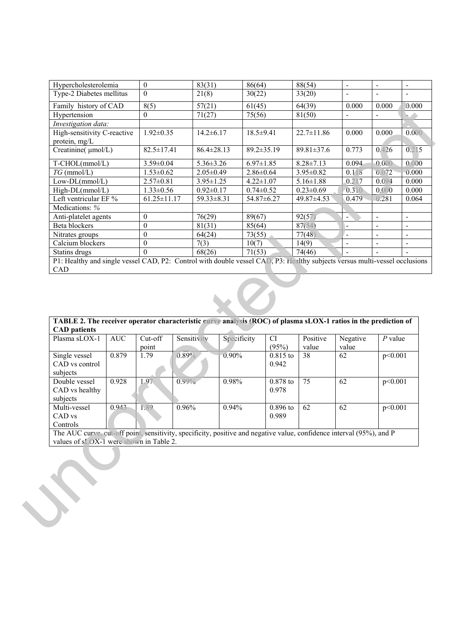| Hypercholesterolemia                                                                                                                        |            | $\mathbf{0}$      |                  | 83(31)           | 86(64)           |                        | 88(54)           |                |                          |                          |
|---------------------------------------------------------------------------------------------------------------------------------------------|------------|-------------------|------------------|------------------|------------------|------------------------|------------------|----------------|--------------------------|--------------------------|
| Type-2 Diabetes mellitus                                                                                                                    |            | $\mathbf{0}$      |                  | 21(8)            | 30(22)           |                        | 33(20)           |                |                          |                          |
| Family history of CAD                                                                                                                       |            |                   | 8(5)             |                  | 61(45)           |                        | 64(39)           | 0.000          | 0.000                    | 0.000                    |
| Hypertension                                                                                                                                |            | $\mathbf{0}$      |                  |                  | 75(56)           |                        | 81(50)           | $\blacksquare$ | $\mathbf{r}$             |                          |
| Investigation data:                                                                                                                         |            |                   |                  |                  |                  |                        |                  |                |                          |                          |
| High-sensitivity C-reactive                                                                                                                 |            |                   | $1.92 \pm 0.35$  |                  | $14.2 \pm 6.17$  | $18.5 \pm 9.41$        | $22.7 \pm 11.86$ | 0.000          | 0.000                    | 0.000                    |
| protein, mg/L                                                                                                                               |            |                   |                  |                  |                  |                        |                  |                |                          |                          |
| Creatinine( µmol/L)                                                                                                                         |            |                   | $82.5 \pm 17.41$ |                  | $86.4 \pm 28.13$ | 89.2±35.19             | 89.81±37.6       | 0.773          | 0.426                    | 0.215                    |
| T-CHOL(mmol/L)                                                                                                                              |            | $3.59 \pm 0.04$   |                  | $5.36 \pm 3.26$  |                  | $6.97 \pm 1.85$        | $8.28 \pm 7.13$  | 0.094          | 0.000                    | 0.000                    |
| $TG$ (mmol/L)                                                                                                                               |            |                   | $1.53 \pm 0.62$  |                  | $2.05 \pm 0.49$  | $2.86 \pm 0.64$        | $3.95 \pm 0.82$  | 0.118          | 0.072                    | 0.000                    |
| $Low-DL(mmol/L)$                                                                                                                            |            | $2.57 \pm 0.81$   |                  | $3.95 \pm 1.25$  |                  | $4.22 \pm 1.07$        | $5.16 \pm 1.88$  | 0.217          | 0.094                    | 0.000                    |
| High-DL(mmol/L)                                                                                                                             |            | $1.33 \pm 0.56$   |                  | $0.92 \pm 0.17$  |                  | $0.74 \pm 0.52$        | $0.23 \pm 0.69$  | 0.310          | 0.000                    | 0.000                    |
| Left ventricular EF %                                                                                                                       |            | $61.25 \pm 11.17$ |                  | $59.33 \pm 8.31$ |                  | 54.87±6.27             | 49.87±4.53       | 0.479          | 0.281                    | 0.064                    |
| Medications: %                                                                                                                              |            |                   |                  |                  |                  |                        |                  |                |                          |                          |
| Anti-platelet agents                                                                                                                        |            | $\mathbf{0}$      |                  | 76(29)           | 89(67)           |                        | 92(57)           | $\blacksquare$ | $\blacksquare$           | $\overline{\phantom{a}}$ |
| Beta blockers                                                                                                                               |            | $\boldsymbol{0}$  |                  | 81(31)           | 85(64)           |                        | 87(54)           | $\overline{a}$ | $\blacksquare$           | $\frac{1}{2}$            |
| Nitrates groups                                                                                                                             |            | $\boldsymbol{0}$  |                  | 64(24)           | 73(55)           |                        | 77(48)           | $\blacksquare$ | $\overline{\phantom{a}}$ | $\blacksquare$           |
| Calcium blockers                                                                                                                            |            | $\boldsymbol{0}$  |                  | 7(3)             | 10(7)            |                        | 14(9)            | $\blacksquare$ |                          | $\blacksquare$           |
| Statins drugs<br>P1: Healthy and single vessel CAD, P2: Control with double vessel CAD, P3: Healthy subjects versus multi-vessel occlusions |            | $\Omega$          |                  | 68(26)           | 71(53)           |                        | 74(46)           |                |                          |                          |
| CAD<br>TABLE 2. The receiver operator characteristic curve analysis (ROC) of plasma sLOX-1 ratios in the prediction of                      |            |                   |                  |                  |                  |                        |                  |                |                          |                          |
| <b>CAD</b> patients<br>Plasma sLOX-1                                                                                                        | <b>AUC</b> | Cut-off           |                  | Sensitivity      | Specificity      | $\overline{\text{CI}}$ | Positive         | Negative       | $P$ value                |                          |
|                                                                                                                                             |            | point             |                  |                  |                  | (95%)                  | value            | value          |                          |                          |
| Single vessel<br>CAD vs control                                                                                                             | 0.879      | 1.79              | 0.89%            |                  | 0.90%            | 0.815 to<br>0.942      | 38               | 62             | p<0.001                  |                          |
| subjects<br>Double vessel<br>CAD vs healthy                                                                                                 | 0.928      | 1.97              | 0.99%            |                  | 0.98%            | 0.878 to<br>0.978      | $\overline{75}$  | 62             | p<0.001                  |                          |
| subjects<br>Multi-vessel<br>CAD vs<br>Controls                                                                                              | 0.943      | 1.89              | 0.96%            |                  | 0.94%            | 0.896 to<br>0.989      | 62               | 62             | p<0.001                  |                          |
| The AUC curve, cut-off point, sensitivity, specificity, positive and negative value, confidence interval (95%), and P                       |            |                   |                  |                  |                  |                        |                  |                |                          |                          |
| values of sLOX-1 were shown in Table 2.                                                                                                     |            |                   |                  |                  |                  |                        |                  |                |                          |                          |

| TABLE 2. The receiver operator characteristic curve analysis (ROC) of plasma sLOX-1 ratios in the prediction of       |            |           |             |             |            |          |          |           |  |  |  |
|-----------------------------------------------------------------------------------------------------------------------|------------|-----------|-------------|-------------|------------|----------|----------|-----------|--|--|--|
| <b>CAD</b> patients                                                                                                   |            |           |             |             |            |          |          |           |  |  |  |
| Plasma sLOX-1                                                                                                         | <b>AUC</b> | $Cut-off$ | Sensitivity | Specificity | <b>CI</b>  | Positive | Negative | $P$ value |  |  |  |
|                                                                                                                       |            | point     |             |             | (95%)      | value    | value    |           |  |  |  |
| Single vessel                                                                                                         | 0.879      | 1.79      | $0.89\%$    | $0.90\%$    | $0.815$ to | 38       | 62       | p<0.001   |  |  |  |
| CAD vs control                                                                                                        |            |           |             |             | 0.942      |          |          |           |  |  |  |
| subjects                                                                                                              |            |           |             |             |            |          |          |           |  |  |  |
|                                                                                                                       |            |           |             |             |            |          |          |           |  |  |  |
| Double vessel                                                                                                         | 0.928      | 1.97      | $0.99\%$    | $0.98\%$    | $0.878$ to | 75       | 62       | p<0.001   |  |  |  |
| CAD vs healthy                                                                                                        |            |           |             |             | 0.978      |          |          |           |  |  |  |
| subjects                                                                                                              |            |           |             |             |            |          |          |           |  |  |  |
| Multi-vessel                                                                                                          | 0.943      | 1.89      | 0.96%       | $0.94\%$    | $0.896$ to | 62       | 62       | p<0.001   |  |  |  |
| CAD vs                                                                                                                |            |           |             |             | 0.989      |          |          |           |  |  |  |
| Controls                                                                                                              |            |           |             |             |            |          |          |           |  |  |  |
| The AUC curve, cut-off point, sensitivity, specificity, positive and negative value, confidence interval (95%), and P |            |           |             |             |            |          |          |           |  |  |  |
| values of sLOX-1 were shown in Table 2.                                                                               |            |           |             |             |            |          |          |           |  |  |  |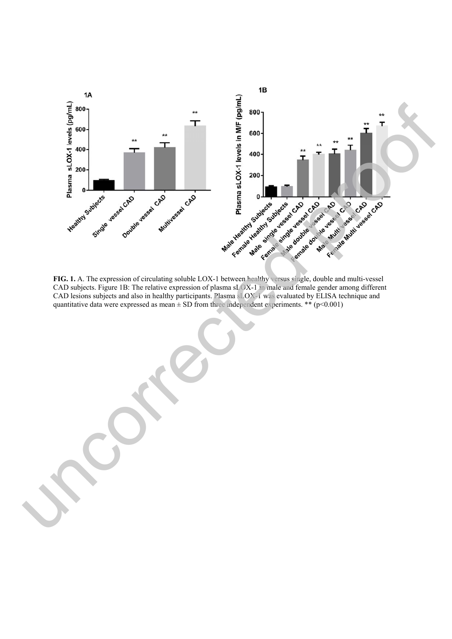

**FIG. 1.** A. The expression of circulating soluble LOX-1 between healthy versus single, double and multi-vessel CAD subjects. Figure 1B: The relative expression of plasma sLOX-1 in male and female gender among different CAD lesions subjects and also in healthy participants. Plasma sLOX-1 was evaluated by ELISA technique and quantitative data were expressed as mean  $\pm$  SD from three independent experiments. \*\* (p<0.001)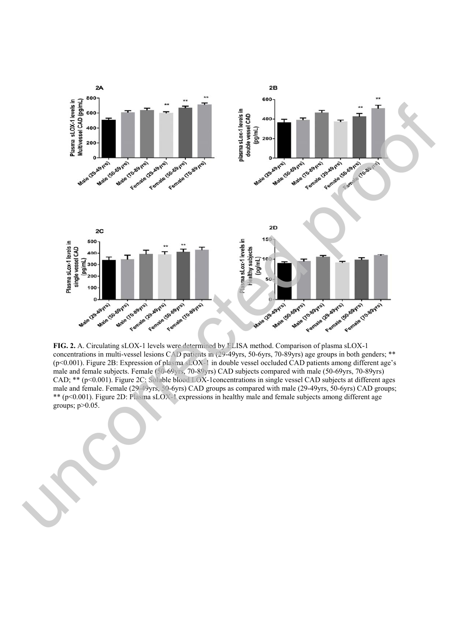

**FIG. 2.** A. Circulating sLOX-1 levels were determined by ELISA method. Comparison of plasma sLOX-1 concentrations in multi-vessel lesions CAD patients in (29-49yrs, 50-6yrs, 70-89yrs) age groups in both genders; \*\* (p<0.001). Figure 2B: Expression of plasma sLOX-1 in double vessel occluded CAD patients among different age's male and female subjects. Female (50-69yrs, 70-89yrs) CAD subjects compared with male (50-69yrs, 70-89yrs) CAD; \*\* (p<0.001). Figure 2C: Soluble blood LOX-1concentrations in single vessel CAD subjects at different ages male and female. Female (29-49yrs, 50-6yrs) CAD groups as compared with male (29-49yrs, 50-6yrs) CAD groups; \*\* (p<0.001). Figure 2D: Plasma sLOX-1 expressions in healthy male and female subjects among different age

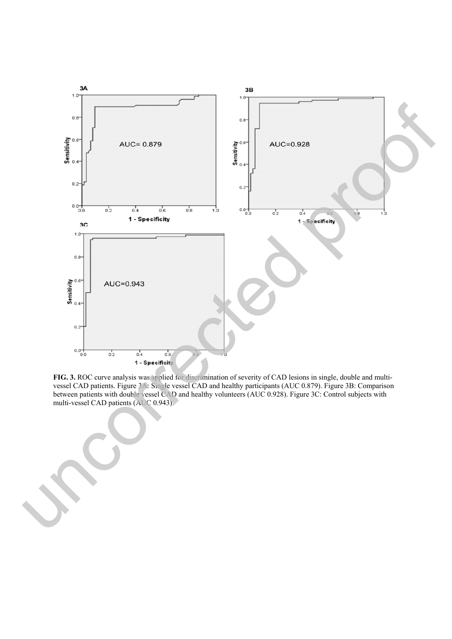

**FIG. 3.** ROC curve analysis was applied for discrimination of severity of CAD lesions in single, double and multivessel CAD patients. Figure 3A: Single vessel CAD and healthy participants (AUC 0.879). Figure 3B: Comparison between patients with double vessel CAD and healthy volunteers (AUC 0.928). Figure 3C: Control subjects with multi-vessel CAD patients (AUC 0.943).

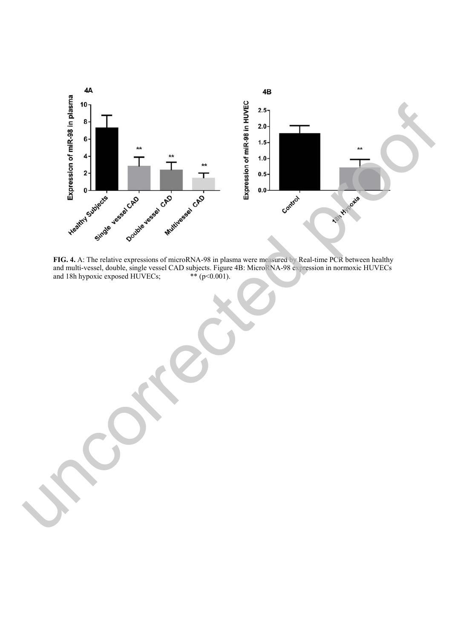

**FIG. 4.** A: The relative expressions of microRNA-98 in plasma were measured by Real-time PCR between healthy and multi-vessel, double, single vessel CAD subjects. Figure 4B: MicroRNA-98 expression in normoxic HUVECs and 18h hypoxic exposed HUVECs;  $**(p<0.001)$ .